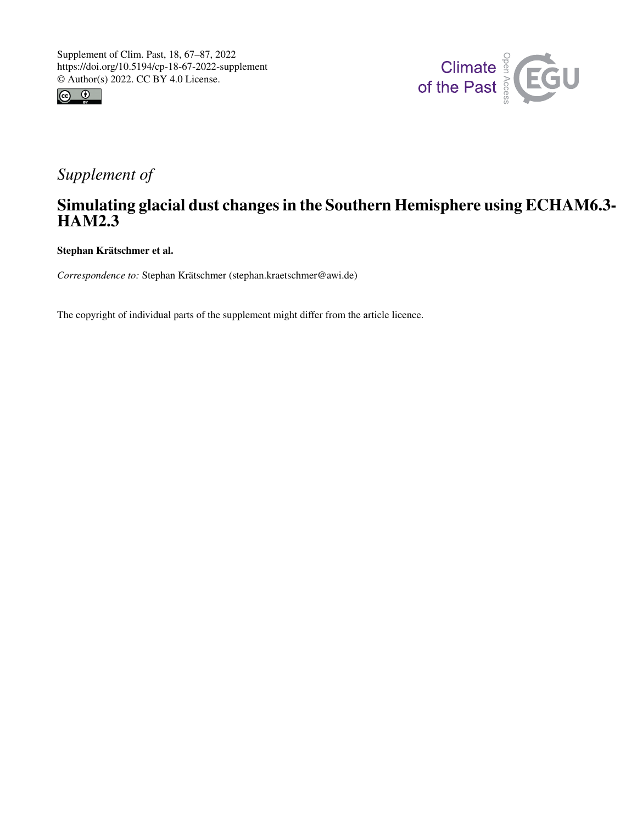



# *Supplement of*

# Simulating glacial dust changes in the Southern Hemisphere using ECHAM6.3- HAM2.3

Stephan Krätschmer et al.

*Correspondence to:* Stephan Krätschmer (stephan.kraetschmer@awi.de)

The copyright of individual parts of the supplement might differ from the article licence.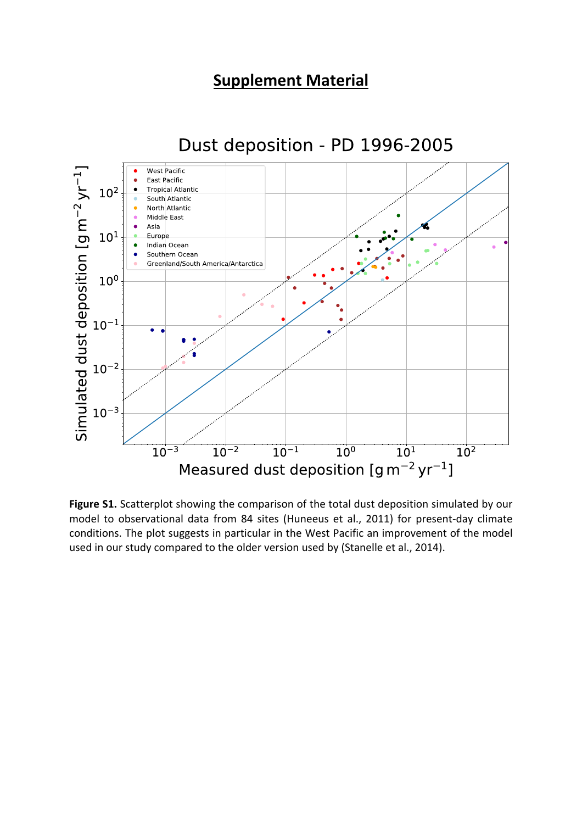# **Supplement Material**



### Figure S1. Scatterplot showing the comparison of the total dust deposition simulated by our model to observational data from 84 sites (Huneeus et al., 2011) for present-day climate conditions. The plot suggests in particular in the West Pacific an improvement of the model used in our study compared to the older version used by (Stanelle et al., 2014).